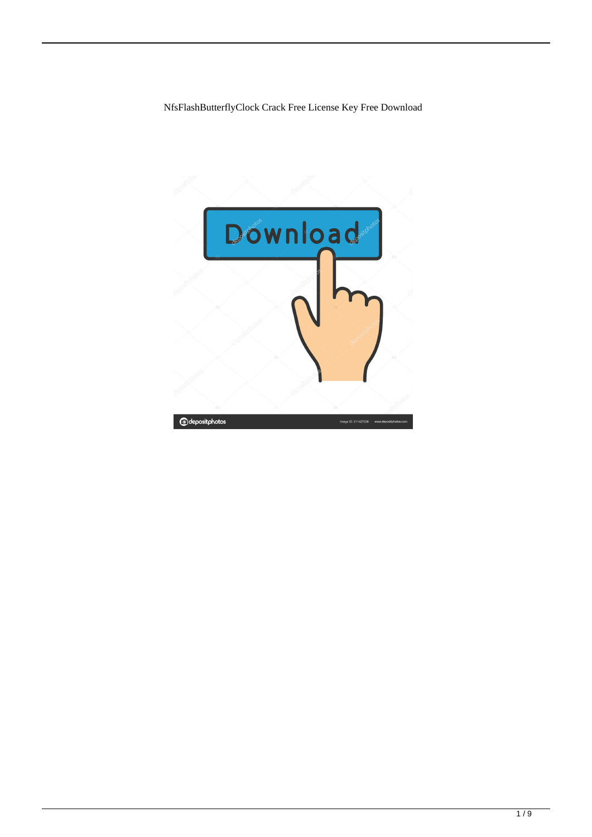NfsFlashButterflyClock Crack Free License Key Free Download

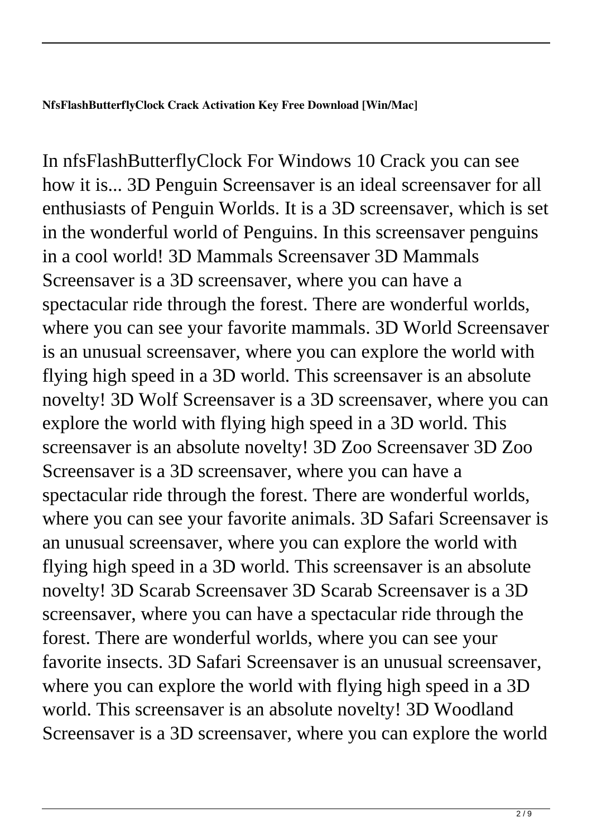## **NfsFlashButterflyClock Crack Activation Key Free Download [Win/Mac]**

In nfsFlashButterflyClock For Windows 10 Crack you can see how it is... 3D Penguin Screensaver is an ideal screensaver for all enthusiasts of Penguin Worlds. It is a 3D screensaver, which is set in the wonderful world of Penguins. In this screensaver penguins in a cool world! 3D Mammals Screensaver 3D Mammals Screensaver is a 3D screensaver, where you can have a spectacular ride through the forest. There are wonderful worlds, where you can see your favorite mammals. 3D World Screensaver is an unusual screensaver, where you can explore the world with flying high speed in a 3D world. This screensaver is an absolute novelty! 3D Wolf Screensaver is a 3D screensaver, where you can explore the world with flying high speed in a 3D world. This screensaver is an absolute novelty! 3D Zoo Screensaver 3D Zoo Screensaver is a 3D screensaver, where you can have a spectacular ride through the forest. There are wonderful worlds, where you can see your favorite animals. 3D Safari Screensaver is an unusual screensaver, where you can explore the world with flying high speed in a 3D world. This screensaver is an absolute novelty! 3D Scarab Screensaver 3D Scarab Screensaver is a 3D screensaver, where you can have a spectacular ride through the forest. There are wonderful worlds, where you can see your favorite insects. 3D Safari Screensaver is an unusual screensaver, where you can explore the world with flying high speed in a 3D world. This screensaver is an absolute novelty! 3D Woodland Screensaver is a 3D screensaver, where you can explore the world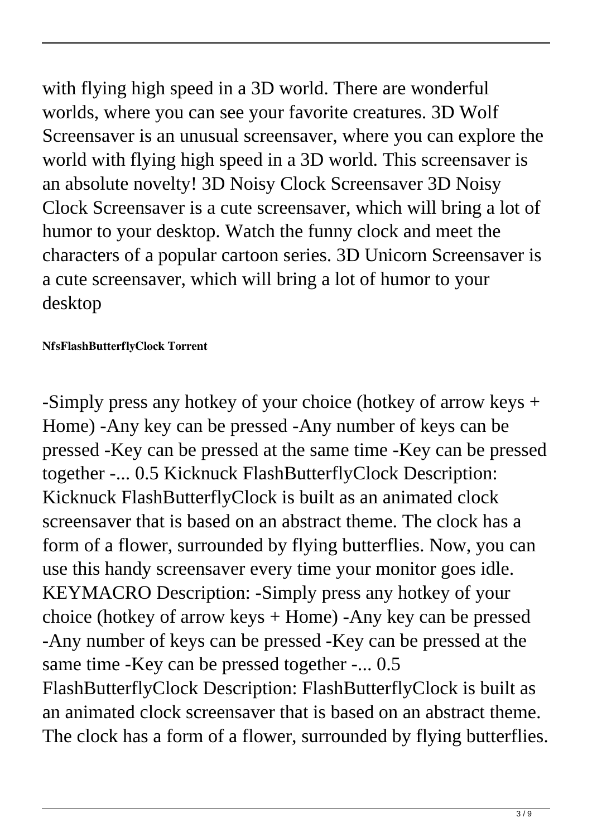with flying high speed in a 3D world. There are wonderful worlds, where you can see your favorite creatures. 3D Wolf Screensaver is an unusual screensaver, where you can explore the world with flying high speed in a 3D world. This screensaver is an absolute novelty! 3D Noisy Clock Screensaver 3D Noisy Clock Screensaver is a cute screensaver, which will bring a lot of humor to your desktop. Watch the funny clock and meet the characters of a popular cartoon series. 3D Unicorn Screensaver is a cute screensaver, which will bring a lot of humor to your desktop

## **NfsFlashButterflyClock Torrent**

-Simply press any hotkey of your choice (hotkey of arrow keys + Home) -Any key can be pressed -Any number of keys can be pressed -Key can be pressed at the same time -Key can be pressed together -... 0.5 Kicknuck FlashButterflyClock Description: Kicknuck FlashButterflyClock is built as an animated clock screensaver that is based on an abstract theme. The clock has a form of a flower, surrounded by flying butterflies. Now, you can use this handy screensaver every time your monitor goes idle. KEYMACRO Description: -Simply press any hotkey of your choice (hotkey of arrow keys + Home) -Any key can be pressed -Any number of keys can be pressed -Key can be pressed at the same time -Key can be pressed together -... 0.5 FlashButterflyClock Description: FlashButterflyClock is built as an animated clock screensaver that is based on an abstract theme. The clock has a form of a flower, surrounded by flying butterflies.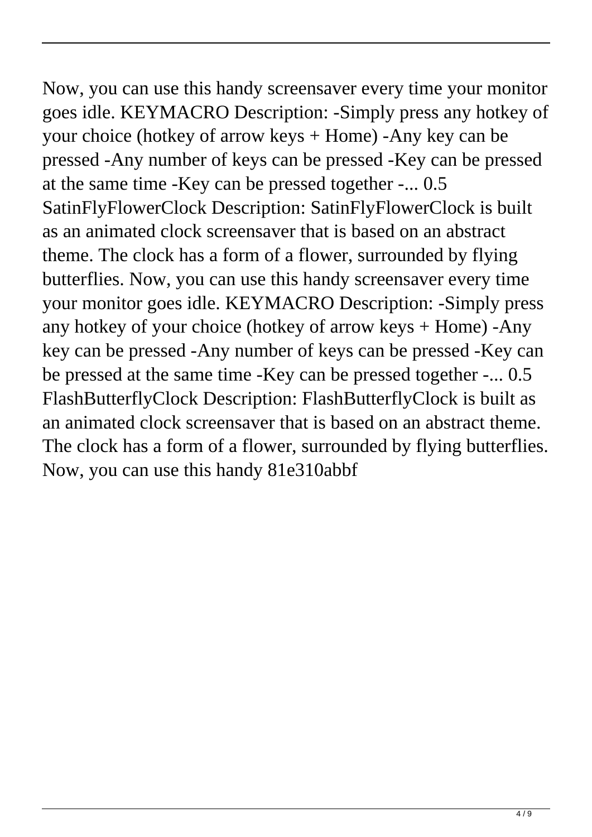Now, you can use this handy screensaver every time your monitor goes idle. KEYMACRO Description: -Simply press any hotkey of your choice (hotkey of arrow keys + Home) -Any key can be pressed -Any number of keys can be pressed -Key can be pressed at the same time -Key can be pressed together -... 0.5 SatinFlyFlowerClock Description: SatinFlyFlowerClock is built as an animated clock screensaver that is based on an abstract theme. The clock has a form of a flower, surrounded by flying butterflies. Now, you can use this handy screensaver every time your monitor goes idle. KEYMACRO Description: -Simply press any hotkey of your choice (hotkey of arrow keys + Home) -Any key can be pressed -Any number of keys can be pressed -Key can be pressed at the same time -Key can be pressed together -... 0.5 FlashButterflyClock Description: FlashButterflyClock is built as an animated clock screensaver that is based on an abstract theme. The clock has a form of a flower, surrounded by flying butterflies. Now, you can use this handy 81e310abbf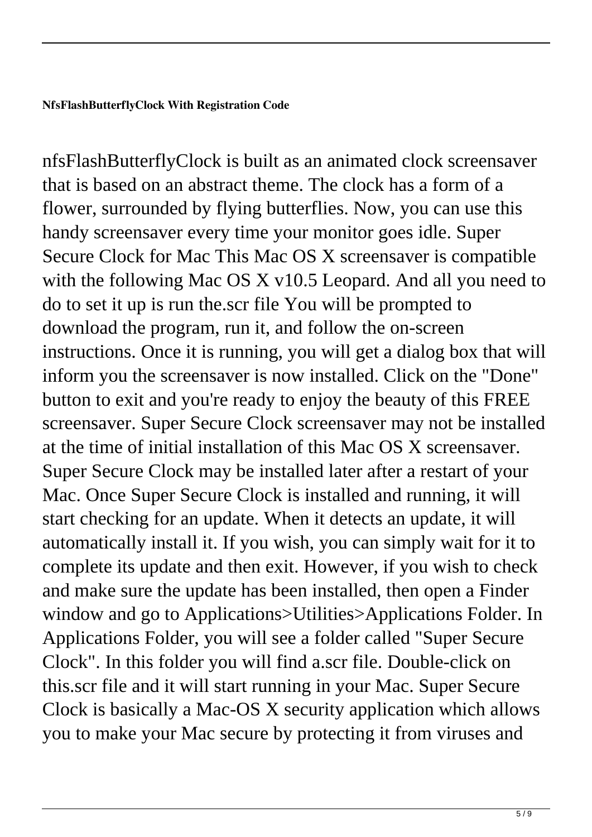nfsFlashButterflyClock is built as an animated clock screensaver that is based on an abstract theme. The clock has a form of a flower, surrounded by flying butterflies. Now, you can use this handy screensaver every time your monitor goes idle. Super Secure Clock for Mac This Mac OS X screensaver is compatible with the following Mac OS X v10.5 Leopard. And all you need to do to set it up is run the.scr file You will be prompted to download the program, run it, and follow the on-screen instructions. Once it is running, you will get a dialog box that will inform you the screensaver is now installed. Click on the "Done" button to exit and you're ready to enjoy the beauty of this FREE screensaver. Super Secure Clock screensaver may not be installed at the time of initial installation of this Mac OS X screensaver. Super Secure Clock may be installed later after a restart of your Mac. Once Super Secure Clock is installed and running, it will start checking for an update. When it detects an update, it will automatically install it. If you wish, you can simply wait for it to complete its update and then exit. However, if you wish to check and make sure the update has been installed, then open a Finder window and go to Applications>Utilities>Applications Folder. In Applications Folder, you will see a folder called "Super Secure Clock". In this folder you will find a.scr file. Double-click on this.scr file and it will start running in your Mac. Super Secure Clock is basically a Mac-OS X security application which allows you to make your Mac secure by protecting it from viruses and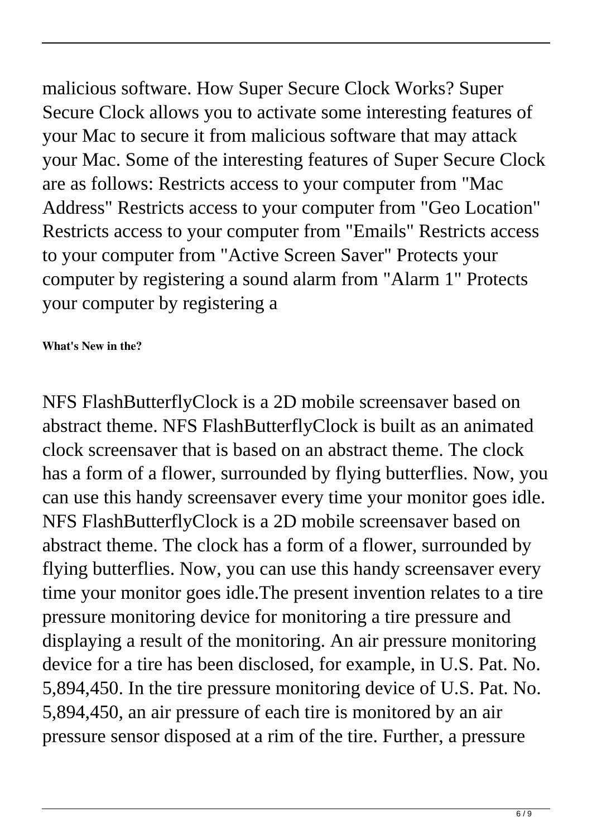malicious software. How Super Secure Clock Works? Super Secure Clock allows you to activate some interesting features of your Mac to secure it from malicious software that may attack your Mac. Some of the interesting features of Super Secure Clock are as follows: Restricts access to your computer from "Mac Address" Restricts access to your computer from "Geo Location" Restricts access to your computer from "Emails" Restricts access to your computer from "Active Screen Saver" Protects your computer by registering a sound alarm from "Alarm 1" Protects your computer by registering a

## **What's New in the?**

NFS FlashButterflyClock is a 2D mobile screensaver based on abstract theme. NFS FlashButterflyClock is built as an animated clock screensaver that is based on an abstract theme. The clock has a form of a flower, surrounded by flying butterflies. Now, you can use this handy screensaver every time your monitor goes idle. NFS FlashButterflyClock is a 2D mobile screensaver based on abstract theme. The clock has a form of a flower, surrounded by flying butterflies. Now, you can use this handy screensaver every time your monitor goes idle.The present invention relates to a tire pressure monitoring device for monitoring a tire pressure and displaying a result of the monitoring. An air pressure monitoring device for a tire has been disclosed, for example, in U.S. Pat. No. 5,894,450. In the tire pressure monitoring device of U.S. Pat. No. 5,894,450, an air pressure of each tire is monitored by an air pressure sensor disposed at a rim of the tire. Further, a pressure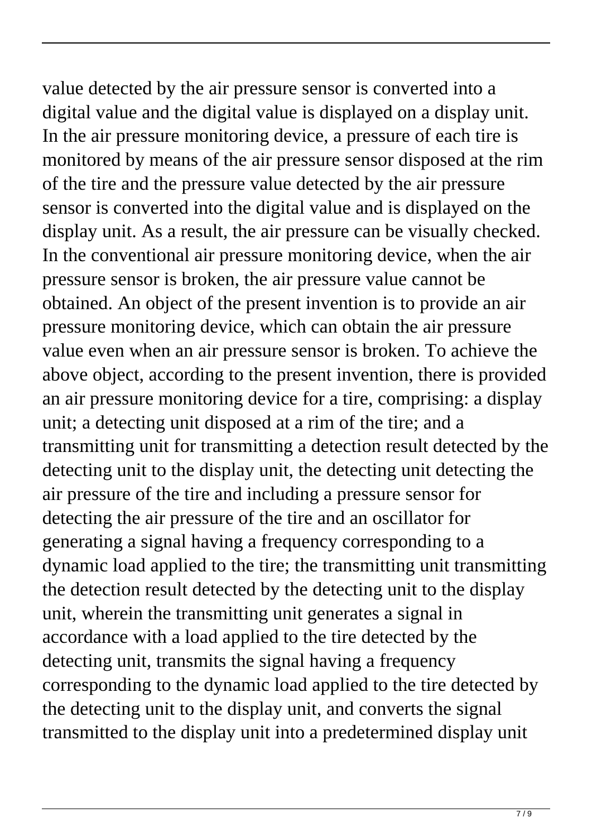value detected by the air pressure sensor is converted into a digital value and the digital value is displayed on a display unit. In the air pressure monitoring device, a pressure of each tire is monitored by means of the air pressure sensor disposed at the rim of the tire and the pressure value detected by the air pressure sensor is converted into the digital value and is displayed on the display unit. As a result, the air pressure can be visually checked. In the conventional air pressure monitoring device, when the air pressure sensor is broken, the air pressure value cannot be obtained. An object of the present invention is to provide an air pressure monitoring device, which can obtain the air pressure value even when an air pressure sensor is broken. To achieve the above object, according to the present invention, there is provided an air pressure monitoring device for a tire, comprising: a display unit; a detecting unit disposed at a rim of the tire; and a transmitting unit for transmitting a detection result detected by the detecting unit to the display unit, the detecting unit detecting the air pressure of the tire and including a pressure sensor for detecting the air pressure of the tire and an oscillator for generating a signal having a frequency corresponding to a dynamic load applied to the tire; the transmitting unit transmitting the detection result detected by the detecting unit to the display unit, wherein the transmitting unit generates a signal in accordance with a load applied to the tire detected by the detecting unit, transmits the signal having a frequency corresponding to the dynamic load applied to the tire detected by the detecting unit to the display unit, and converts the signal transmitted to the display unit into a predetermined display unit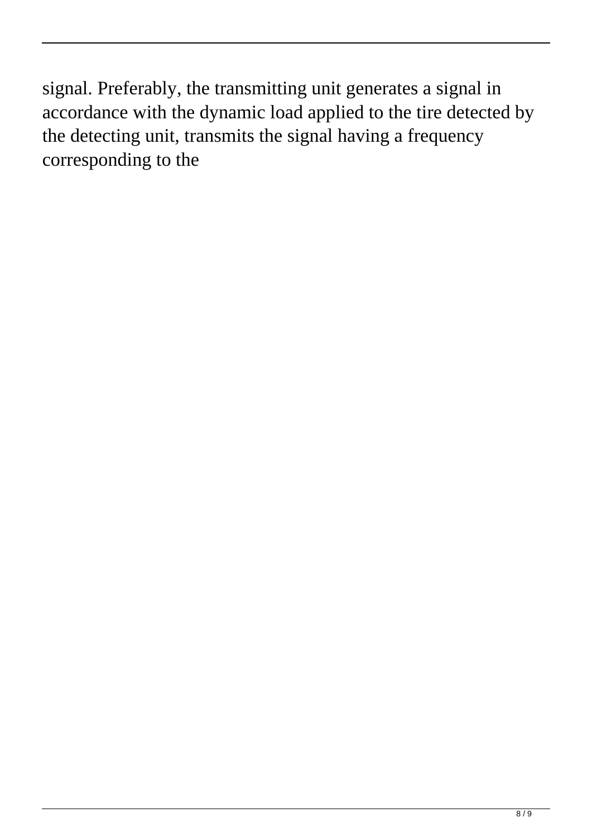signal. Preferably, the transmitting unit generates a signal in accordance with the dynamic load applied to the tire detected by the detecting unit, transmits the signal having a frequency corresponding to the